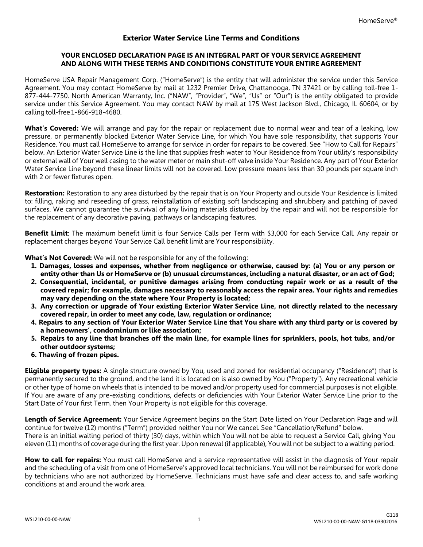## **Exterior Water Service Line Terms and Conditions**

## **YOUR ENCLOSED DECLARATION PAGE IS AN INTEGRAL PART OF YOUR SERVICE AGREEMENT AND ALONG WITH THESE TERMS AND CONDITIONS CONSTITUTE YOUR ENTIRE AGREEMENT**

HomeServe USA Repair Management Corp. ("HomeServe") is the entity that will administer the service under this Service Agreement. You may contact HomeServe by mail at 1232 Premier Drive, Chattanooga, TN 37421 or by calling toll-free 1- 877-444-7750. North American Warranty, Inc. ("NAW", "Provider", "We", "Us" or "Our") is the entity obligated to provide service under this Service Agreement. You may contact NAW by mail at 175 West Jackson Blvd., Chicago, IL 60604, or by calling toll-free1-866-918-4680.

**What's Covered:** We will arrange and pay for the repair or replacement due to normal wear and tear of a leaking, low pressure, or permanently blocked Exterior Water Service Line, for which You have sole responsibility, that supports Your Residence. You must call HomeServe to arrange for service in order for repairs to be covered. See "How to Call for Repairs" below. An Exterior Water Service Line is the line that supplies fresh water to Your Residence from Your utility's responsibility or external wall of Your well casing to the water meter or main shut-off valve inside Your Residence. Any part of Your Exterior Water Service Line beyond these linear limits will not be covered. Low pressure means less than 30 pounds per square inch with 2 or fewer fixtures open.

**Restoration:** Restoration to any area disturbed by the repair that is on Your Property and outside Your Residence is limited to: filling, raking and reseeding of grass, reinstallation of existing soft landscaping and shrubbery and patching of paved surfaces. We cannot guarantee the survival of any living materials disturbed by the repair and will not be responsible for the replacement of any decorative paving, pathways or landscaping features.

**Benefit Limit**: The maximum benefit limit is four Service Calls per Term with \$3,000 for each Service Call. Any repair or replacement charges beyond Your Service Call benefit limit are Your responsibility.

**What's Not Covered:** We will not be responsible for any of the following:

- 1. Damages, losses and expenses, whether from negligence or otherwise, caused by: (a) You or any person or entity other than Us or HomeServe or (b) unusual circumstances, including a natural disaster, or an act of God;
- 2. Consequential, incidental, or punitive damages arising from conducting repair work or as a result of the **covered repair; for example, damages necessary to reasonably access the repair area. Your rights and remedies may vary depending on the state where Your Property is located;**
- 3. Any correction or upgrade of Your existing Exterior Water Service Line, not directly related to the necessary **covered repair, in order to meet any code, law, regulation or ordinance;**
- 4. Repairs to any section of Your Exterior Water Service Line that You share with any third party or is covered by **a homeowners', condominium or like association;**
- 5. Repairs to any line that branches off the main line, for example lines for sprinklers, pools, hot tubs, and/or **other outdoor systems;**
- **6. Thawing of frozen pipes.**

**Eligible property types:** A single structure owned by You, used and zoned for residential occupancy ("Residence") that is permanently secured to the ground, and the land it is located on is also owned by You ("Property"). Any recreational vehicle or other type of home on wheels that is intended to be moved and/or property used for commercial purposes is not eligible. If You are aware of any pre-existing conditions, defects or deficiencies with Your Exterior Water Service Line prior to the Start Date of Your first Term, then Your Property is not eligible for this coverage.

**Length of Service Agreement:** Your Service Agreement begins on the Start Date listed on Your Declaration Page and will continue for twelve (12) months ("Term") provided neither You nor We cancel. See "Cancellation/Refund" below. There is an initial waiting period of thirty (30) days, within which You will not be able to request a Service Call, giving You eleven (11) months of coverage during the first year. Upon renewal (if applicable), You will not be subject to a waiting period.

**How to call for repairs:** You must call HomeServe and a service representative will assist in the diagnosis of Your repair and the scheduling of a visit from one of HomeServe's approved local technicians. You will not be reimbursed for work done by technicians who are not authorized by HomeServe. Technicians must have safe and clear access to, and safe working conditions at and around the work area.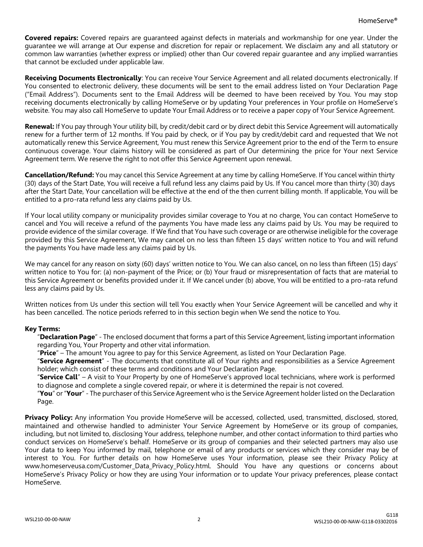**Covered repairs:** Covered repairs are guaranteed against defects in materials and workmanship for one year. Under the guarantee we will arrange at Our expense and discretion for repair or replacement. We disclaim any and all statutory or common law warranties (whether express or implied) other than Our covered repair guarantee and any implied warranties that cannot be excluded under applicable law.

**Receiving Documents Electronically**: You can receive Your Service Agreement and all related documents electronically. If You consented to electronic delivery, these documents will be sent to the email address listed on Your Declaration Page ("Email Address"). Documents sent to the Email Address will be deemed to have been received by You. You may stop receiving documents electronically by calling HomeServe or by updating Your preferences in Your profile on HomeServe's website. You may also call HomeServe to update Your Email Address or to receive a paper copy of Your Service Agreement.

**Renewal:** If You pay through Your utility bill, by credit/debit card or by direct debit this Service Agreement will automatically renew for a further term of 12 months. If You paid by check, or if You pay by credit/debit card and requested that We not automatically renew this Service Agreement, You must renew this Service Agreement prior to the end of the Term to ensure continuous coverage. Your claims history will be considered as part of Our determining the price for Your next Service Agreement term. We reserve the right to not offer this Service Agreement upon renewal.

**Cancellation/Refund:** You may cancel this Service Agreement at any time by calling HomeServe. If You cancel within thirty (30) days of the Start Date, You will receive a full refund less any claims paid by Us. If You cancel more than thirty (30) days after the Start Date, Your cancellation will be effective at the end of the then current billing month. If applicable, You will be entitled to a pro-rata refund less any claims paid by Us.

If Your local utility company or municipality provides similar coverage to You at no charge, You can contact HomeServe to cancel and You will receive a refund of the payments You have made less any claims paid by Us. You may be required to provide evidence of the similar coverage. If We find that You have such coverage or are otherwise ineligible for the coverage provided by this Service Agreement, We may cancel on no less than fifteen 15 days' written notice to You and will refund the payments You have made less any claims paid by Us.

We may cancel for any reason on sixty (60) days' written notice to You. We can also cancel, on no less than fifteen (15) days' written notice to You for: (a) non-payment of the Price; or (b) Your fraud or misrepresentation of facts that are material to this Service Agreement or benefits provided under it. If We cancel under (b) above, You will be entitled to a pro-rata refund less any claims paid by Us.

Written notices from Us under this section will tell You exactly when Your Service Agreement will be cancelled and why it has been cancelled. The notice periods referred to in this section begin when We send the notice to You.

## **Key Terms:**

"**Declaration Page**" - The enclosed document that forms a part of this Service Agreement, listing important information regarding You, Your Property and other vital information.

"**Price**" – The amount You agree to pay for this Service Agreement, as listed on Your Declaration Page.

"**Service Agreement**" - The documents that constitute all of Your rights and responsibilities as a Service Agreement holder; which consist of these terms and conditions and Your Declaration Page.

"**Service Call**" – A visit to Your Property by one of HomeServe's approved local technicians, where work is performed to diagnose and complete a single covered repair, or where it is determined the repair is not covered.

"**You**" or"**Your**" - The purchaser of this Service Agreement who is the Service Agreement holder listed on the Declaration Page.

**Privacy Policy:** Any information You provide HomeServe will be accessed, collected, used, transmitted, disclosed, stored, maintained and otherwise handled to administer Your Service Agreement by HomeServe or its group of companies, including, but not limited to, disclosing Your address, telephone number, and other contact information to third parties who conduct services on HomeServe's behalf. HomeServe or its group of companies and their selected partners may also use Your data to keep You informed by mail, telephone or email of any products or services which they consider may be of interest to You. For further details on how HomeServe uses Your information, please see their Privacy Policy a[t](http://www.homeserveusa.com/Customer_Data_Privacy_Policy.html) [www.homeserveusa.com/Customer\\_Data\\_Privacy\\_Policy.html.](http://www.homeserveusa.com/Customer_Data_Privacy_Policy.html) Should You have any questions or concerns about HomeServe's Privacy Policy or how they are using Your information or to update Your privacy preferences, please contact HomeServe.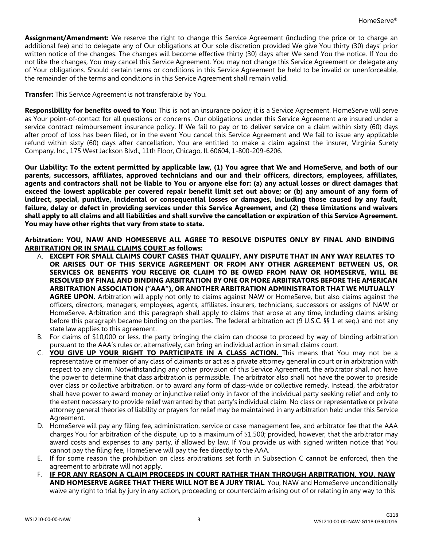**Assignment/Amendment:** We reserve the right to change this Service Agreement (including the price or to charge an additional fee) and to delegate any of Our obligations at Our sole discretion provided We give You thirty (30) days' prior written notice of the changes. The changes will become effective thirty (30) days after We send You the notice. If You do not like the changes, You may cancel this Service Agreement. You may not change this Service Agreement or delegate any of Your obligations. Should certain terms or conditions in this Service Agreement be held to be invalid or unenforceable, the remainder of the terms and conditions in this Service Agreement shall remain valid.

**Transfer:** This Service Agreement is not transferable by You.

**Responsibility for benefits owed to You:** This is not an insurance policy; it is a Service Agreement. HomeServe will serve as Your point-of-contact for all questions or concerns. Our obligations under this Service Agreement are insured under a service contract reimbursement insurance policy. If We fail to pay or to deliver service on a claim within sixty (60) days after proof of loss has been filed, or in the event You cancel this Service Agreement and We fail to issue any applicable refund within sixty (60) days after cancellation, You are entitled to make a claim against the insurer, Virginia Surety Company, Inc., 175 West Jackson Blvd., 11th Floor, Chicago, IL 60604, 1-800-209-6206.

Our Liability: To the extent permitted by applicable law, (1) You agree that We and HomeServe, and both of our **parents, successors, affiliates, approved technicians and our and their officers, directors, employees, affiliates,** agents and contractors shall not be liable to You or anyone else for: (a) any actual losses or direct damages that exceed the lowest applicable per covered repair benefit limit set out above; or (b) any amount of any form of **indirect, special, punitive, incidental or consequential losses or damages, including those caused by any fault,** failure, delay or defect in providing services under this Service Agreement, and (2) these limitations and waivers shall apply to all claims and all liabilities and shall survive the cancellation or expiration of this Service Agreement. **You may have other rights that vary from state to state.**

## **Arbitration: YOU, NAW AND HOMESERVE ALL AGREE TO RESOLVE DISPUTES ONLY BY FINAL AND BINDING ARBITRATION OR IN SMALL CLAIMS COURT as follows:**

- A. **EXCEPT FOR SMALL CLAIMS COURT CASES THAT QUALIFY, ANY DISPUTE THAT IN ANY WAY RELATES TO OR ARISES OUT OF THIS SERVICE AGREEMENT OR FROM ANY OTHER AGREEMENT BETWEEN US, OR SERVICES OR BENEFITS YOU RECEIVE OR CLAIM TO BE OWED FROM NAW OR HOMESERVE, WILL BE RESOLVED BY FINAL AND BINDING ARBITRATION BY ONE OR MORE ARBITRATORS BEFORE THE AMERICAN ARBITRATION ASSOCIATION ("AAA"), OR ANOTHER ARBITRATION ADMINISTRATOR THAT WE MUTUALLY AGREE UPON.** Arbitration will apply not only to claims against NAW or HomeServe, but also claims against the officers, directors, managers, employees, agents, affiliates, insurers, technicians, successors or assigns of NAW or HomeServe. Arbitration and this paragraph shall apply to claims that arose at any time, including claims arising before this paragraph became binding on the parties. The federal arbitration act (9 U.S.C. §§ 1 et seq.) and not any state law applies to this agreement.
- B. For claims of \$10,000 or less, the party bringing the claim can choose to proceed by way of binding arbitration pursuant to the AAA's rules or, alternatively, can bring an individual action in small claims court.
- C. **YOU GIVE UP YOUR RIGHT TO PARTICIPATE IN A CLASS ACTION.** This means that You may not be a representative or member of any class of claimants or act as a private attorney general in court or in arbitration with respect to any claim. Notwithstanding any other provision of this Service Agreement, the arbitrator shall not have the power to determine that class arbitration is permissible. The arbitrator also shall not have the power to preside over class or collective arbitration, or to award any form of class-wide or collective remedy. Instead, the arbitrator shall have power to award money or injunctive relief only in favor of the individual party seeking relief and only to the extent necessary to provide relief warranted by that party's individual claim. No class or representative or private attorney general theories of liability or prayers for relief may be maintained in any arbitration held under this Service Agreement.
- D. HomeServe will pay any filing fee, administration, service or case management fee, and arbitrator fee that the AAA charges You for arbitration of the dispute, up to a maximum of \$1,500; provided, however, that the arbitrator may award costs and expenses to any party, if allowed by law. If You provide us with signed written notice that You cannot pay the filing fee, HomeServe will pay the fee directly to the AAA.
- E. If for some reason the prohibition on class arbitrations set forth in Subsection C cannot be enforced, then the agreement to arbitrate will not apply.
- F. **IF FOR ANY REASON A CLAIM PROCEEDS IN COURT RATHER THAN THROUGH ARBITRATION, YOU, NAW AND HOMESERVE AGREE THAT THERE WILL NOT BE A JURY TRIAL**. You, NAW and HomeServe unconditionally waive any right to trial by jury in any action, proceeding or counterclaim arising out of or relating in any way to this